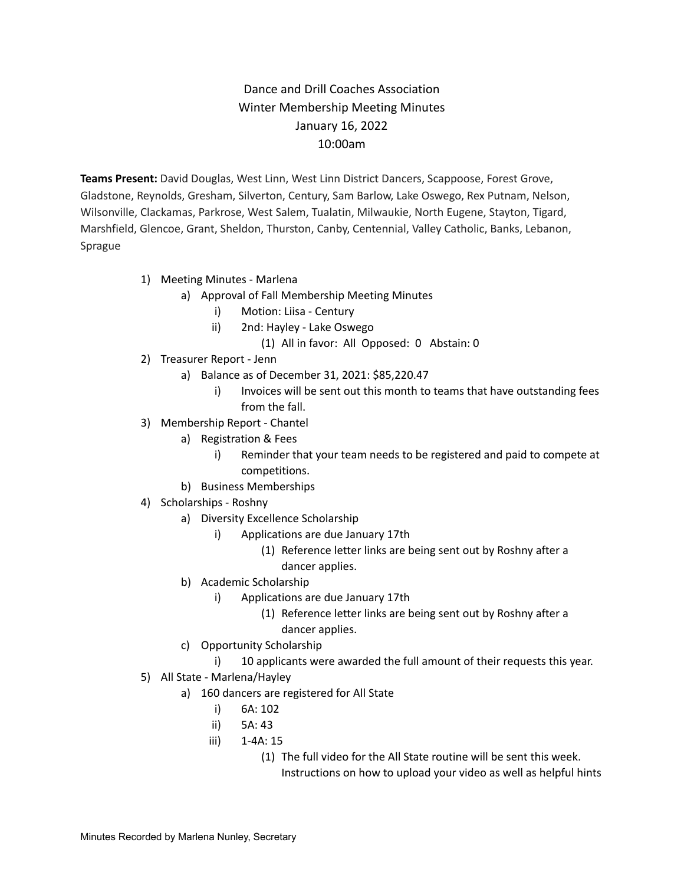## Dance and Drill Coaches Association Winter Membership Meeting Minutes January 16, 2022 10:00am

**Teams Present:** David Douglas, West Linn, West Linn District Dancers, Scappoose, Forest Grove, Gladstone, Reynolds, Gresham, Silverton, Century, Sam Barlow, Lake Oswego, Rex Putnam, Nelson, Wilsonville, Clackamas, Parkrose, West Salem, Tualatin, Milwaukie, North Eugene, Stayton, Tigard, Marshfield, Glencoe, Grant, Sheldon, Thurston, Canby, Centennial, Valley Catholic, Banks, Lebanon, Sprague

## 1) Meeting Minutes - Marlena

- a) Approval of Fall Membership Meeting Minutes
	- i) Motion: Liisa Century
	- ii) 2nd: Hayley Lake Oswego
		- (1) All in favor: All Opposed: 0 Abstain: 0
- 2) Treasurer Report Jenn
	- a) Balance as of December 31, 2021: \$85,220.47
		- i) Invoices will be sent out this month to teams that have outstanding fees from the fall.
- 3) Membership Report Chantel
	- a) Registration & Fees
		- i) Reminder that your team needs to be registered and paid to compete at competitions.
	- b) Business Memberships
- 4) Scholarships Roshny
	- a) Diversity Excellence Scholarship
		- i) Applications are due January 17th
			- (1) Reference letter links are being sent out by Roshny after a dancer applies.
	- b) Academic Scholarship
		- i) Applications are due January 17th
			- (1) Reference letter links are being sent out by Roshny after a dancer applies.
	- c) Opportunity Scholarship
		- i) 10 applicants were awarded the full amount of their requests this year.
- 5) All State Marlena/Hayley
	- a) 160 dancers are registered for All State
		- i) 6A: 102
		- ii) 5A: 43
		- iii) 1-4A: 15
			- (1) The full video for the All State routine will be sent this week.
				- Instructions on how to upload your video as well as helpful hints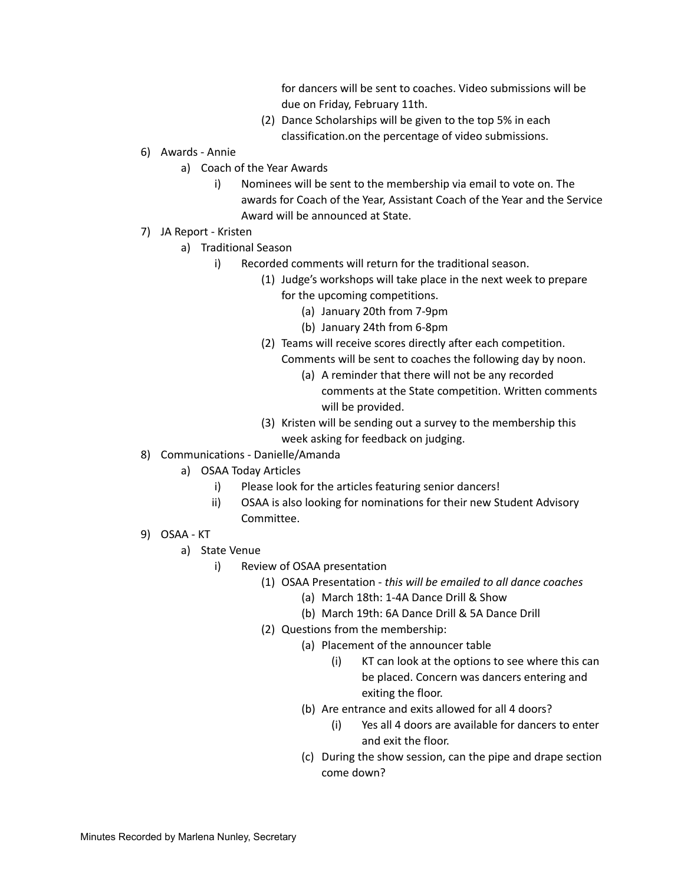for dancers will be sent to coaches. Video submissions will be due on Friday, February 11th.

- (2) Dance Scholarships will be given to the top 5% in each classification.on the percentage of video submissions.
- 6) Awards Annie
	- a) Coach of the Year Awards
		- i) Nominees will be sent to the membership via email to vote on. The awards for Coach of the Year, Assistant Coach of the Year and the Service Award will be announced at State.
- 7) JA Report Kristen
	- a) Traditional Season
		- i) Recorded comments will return for the traditional season.
			- (1) Judge's workshops will take place in the next week to prepare for the upcoming competitions.
				- (a) January 20th from 7-9pm
				- (b) January 24th from 6-8pm
			- (2) Teams will receive scores directly after each competition. Comments will be sent to coaches the following day by noon.
				- (a) A reminder that there will not be any recorded comments at the State competition. Written comments will be provided.
			- (3) Kristen will be sending out a survey to the membership this week asking for feedback on judging.
- 8) Communications Danielle/Amanda
	- a) OSAA Today Articles
		- i) Please look for the articles featuring senior dancers!
		- ii) OSAA is also looking for nominations for their new Student Advisory Committee.
- 9) OSAA KT
	- a) State Venue
		- i) Review of OSAA presentation
			- (1) OSAA Presentation *this will be emailed to all dance coaches*
				- (a) March 18th: 1-4A Dance Drill & Show
				- (b) March 19th: 6A Dance Drill & 5A Dance Drill
			- (2) Questions from the membership:
				- (a) Placement of the announcer table
					- (i) KT can look at the options to see where this can be placed. Concern was dancers entering and exiting the floor.
					- (b) Are entrance and exits allowed for all 4 doors?
						- (i) Yes all 4 doors are available for dancers to enter and exit the floor.
					- (c) During the show session, can the pipe and drape section come down?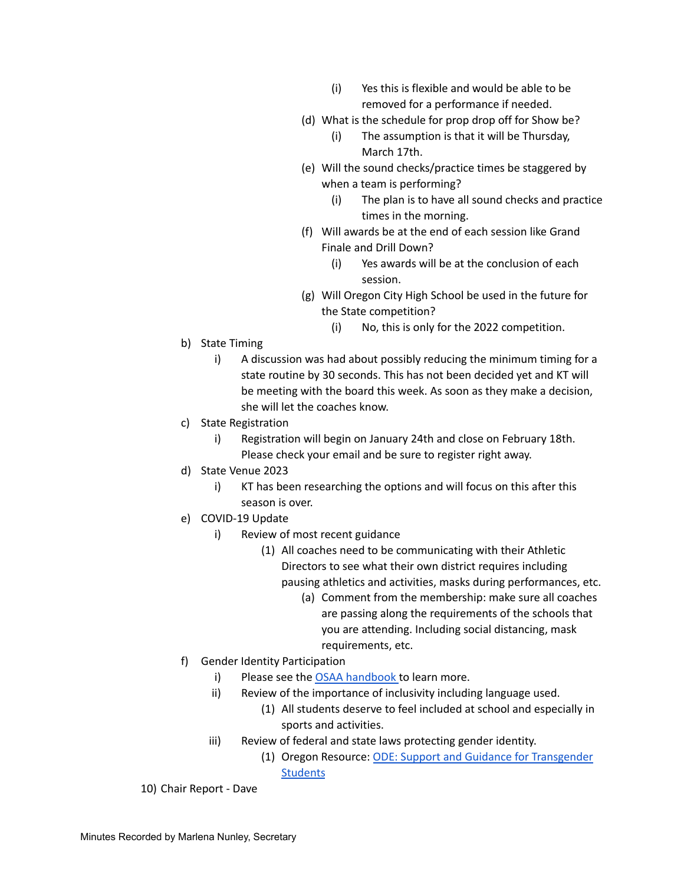- (i) Yes this is flexible and would be able to be removed for a performance if needed.
- (d) What is the schedule for prop drop off for Show be?
	- (i) The assumption is that it will be Thursday, March 17th.
- (e) Will the sound checks/practice times be staggered by when a team is performing?
	- (i) The plan is to have all sound checks and practice times in the morning.
- (f) Will awards be at the end of each session like Grand Finale and Drill Down?
	- (i) Yes awards will be at the conclusion of each session.
- (g) Will Oregon City High School be used in the future for the State competition?
	- (i) No, this is only for the 2022 competition.
- b) State Timing
	- i) A discussion was had about possibly reducing the minimum timing for a state routine by 30 seconds. This has not been decided yet and KT will be meeting with the board this week. As soon as they make a decision, she will let the coaches know.
- c) State Registration
	- i) Registration will begin on January 24th and close on February 18th. Please check your email and be sure to register right away.
- d) State Venue 2023
	- i) KT has been researching the options and will focus on this after this season is over.
- e) COVID-19 Update
	- i) Review of most recent guidance
		- (1) All coaches need to be communicating with their Athletic Directors to see what their own district requires including pausing athletics and activities, masks during performances, etc.
			- (a) Comment from the membership: make sure all coaches are passing along the requirements of the schools that you are attending. Including social distancing, mask requirements, etc.
- f) Gender Identity Participation
	- i) Please see the OSAA [handbook](https://www.osaa.org/docs/handbooks/GenderIdentityParticipationBP.pdf) to learn more.
	- ii) Review of the importance of inclusivity including language used.
		- (1) All students deserve to feel included at school and especially in sports and activities.
	- iii) Review of federal and state laws protecting gender identity.
		- (1) Oregon Resource: ODE: Support and Guidance for [Transgender](https://www.oregon.gov/ode/students-and-family/equity/civilrights/Documents/TransgenderStudentGuidance.pdf) **[Students](https://www.oregon.gov/ode/students-and-family/equity/civilrights/Documents/TransgenderStudentGuidance.pdf)**

10) Chair Report - Dave